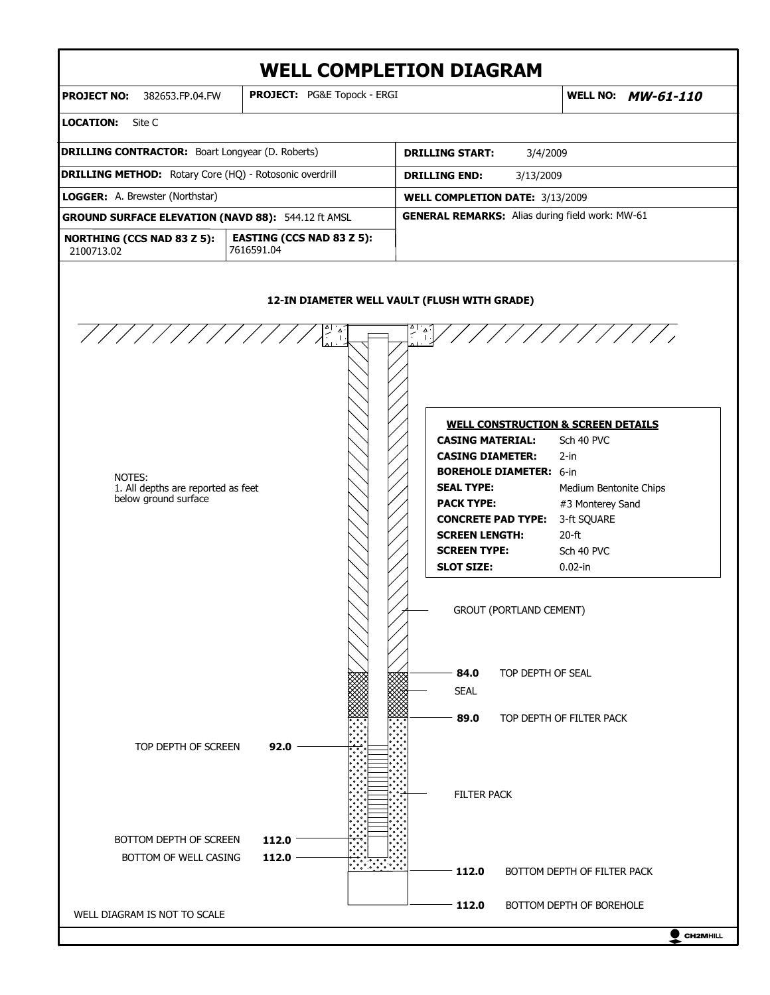# **WELL COMPLETION DIAGRAM**



 $\bullet$  CH2MHILL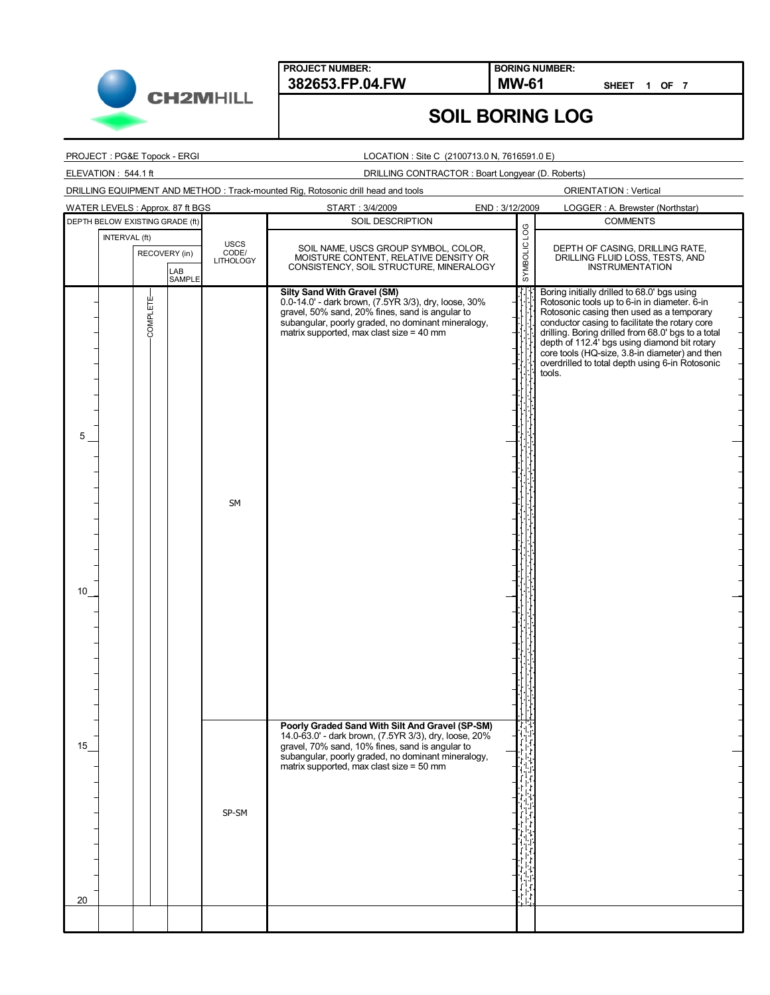

**BORING NUMBER:**

**SHEET 1 OF 7**

## **SOIL BORING LOG**

#### PROJECT : PG&E Topock - ERGI

ELEVATION : 544.1 ft

#### LOCATION : Site C (2100713.0 N, 7616591.0 E)

## DRILLING CONTRACTOR : Boart Longyear (D. Roberts)

DRILLING EQUIPMENT AND METHOD : Track-mounted Rig, Rotosonic drill head and tools

| WATER LEVELS: Approx. 87 ft BGS |                                 |                                |  |                                   | START: 3/4/2009                                                                                                                                                                                                                                               | END: 3/12/2009 | LOGGER: A. Brewster (Northstar)                                                                                                                                                                                                                                                                                                                                                                                 |
|---------------------------------|---------------------------------|--------------------------------|--|-----------------------------------|---------------------------------------------------------------------------------------------------------------------------------------------------------------------------------------------------------------------------------------------------------------|----------------|-----------------------------------------------------------------------------------------------------------------------------------------------------------------------------------------------------------------------------------------------------------------------------------------------------------------------------------------------------------------------------------------------------------------|
|                                 | DEPTH BELOW EXISTING GRADE (ft) |                                |  |                                   | SOIL DESCRIPTION                                                                                                                                                                                                                                              |                | <b>COMMENTS</b>                                                                                                                                                                                                                                                                                                                                                                                                 |
|                                 | INTERVAL (ft)                   | RECOVERY (in)<br>LAB<br>SAMPLE |  | USCS<br>CODE/<br><b>LITHOLOGY</b> | SOIL NAME, USCS GROUP SYMBOL, COLOR,<br>MOISTURE CONTENT, RELATIVE DENSITY OR<br>CONSISTENCY, SOIL STRUCTURE, MINERALOGY                                                                                                                                      | SYMBOLIC LOG   | DEPTH OF CASING, DRILLING RATE,<br>DRILLING FLUID LOSS, TESTS, AND<br><b>INSTRUMENTATION</b>                                                                                                                                                                                                                                                                                                                    |
| 5<br>10                         |                                 | COMPLETE-                      |  | <b>SM</b>                         | <b>Silty Sand With Gravel (SM)</b><br>0.0-14.0' - dark brown, (7.5YR 3/3), dry, loose, 30%<br>gravel, 50% sand, 20% fines, sand is angular to<br>subangular, poorly graded, no dominant mineralogy,<br>matrix supported, max clast size = 40 mm               |                | Boring initially drilled to 68.0' bgs using<br>Rotosonic tools up to 6-in in diameter. 6-in<br>Rotosonic casing then used as a temporary<br>conductor casing to facilitate the rotary core<br>drilling. Boring drilled from 68.0' bgs to a total<br>depth of 112.4' bgs using diamond bit rotary<br>core tools (HQ-size, 3.8-in diameter) and then<br>overdrilled to total depth using 6-in Rotosonic<br>tools. |
| 15<br>20                        |                                 |                                |  | SP-SM                             | Poorly Graded Sand With Silt And Gravel (SP-SM)<br>14.0-63.0' - dark brown, (7.5YR 3/3), dry, loose, 20%<br>gravel, 70% sand, 10% fines, sand is angular to<br>subangular, poorly graded, no dominant mineralogy,<br>matrix supported, max clast size = 50 mm |                |                                                                                                                                                                                                                                                                                                                                                                                                                 |
|                                 |                                 |                                |  |                                   |                                                                                                                                                                                                                                                               |                |                                                                                                                                                                                                                                                                                                                                                                                                                 |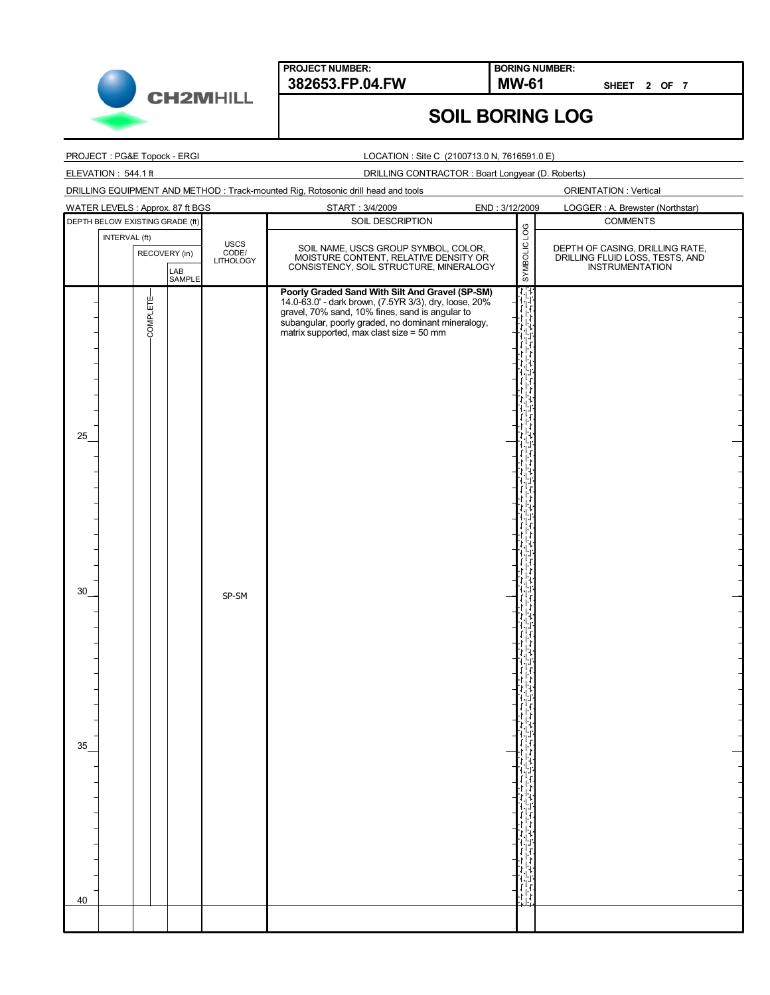

**BORING NUMBER:**

**SHEET 2 OF 7**

# **SOIL BORING LOG**

#### PROJECT : PG&E Topock - ERGI

ELEVATION : 544.1 ft

#### LOCATION : Site C (2100713.0 N, 7616591.0 E)

### DRILLING CONTRACTOR : Boart Longyear (D. Roberts)

DRILLING EQUIPMENT AND METHOD : Track-mounted Rig, Rotosonic drill head and tools

| WATER LEVELS : Approx. 87 ft BGS                |                            | START: 3/4/2009                                                                                                                                                                                                                            | END: 3/12/2009 | LOGGER : A. Brewster (Northstar)                                                      |
|-------------------------------------------------|----------------------------|--------------------------------------------------------------------------------------------------------------------------------------------------------------------------------------------------------------------------------------------|----------------|---------------------------------------------------------------------------------------|
| DEPTH BELOW EXISTING GRADE (ft)                 |                            | SOIL DESCRIPTION                                                                                                                                                                                                                           | SYMBOLIC LOG   | <b>COMMENTS</b>                                                                       |
| INTERVAL (ft)<br>RECOVERY (in)<br>LAB<br>SAMPLE | USCS<br>CODE/<br>LITHOLOGY | SOIL NAME, USCS GROUP SYMBOL, COLOR,<br>MOISTURE CONTENT, RELATIVE DENSITY OR<br>CONSISTENCY, SOIL STRUCTURE, MINERALOGY                                                                                                                   |                | DEPTH OF CASING, DRILLING RATE,<br>DRILLING FLUID LOSS, TESTS, AND<br>INSTRUMENTATION |
| COMPLETE-<br>25                                 |                            | Poorly Graded Sand With Silt And Gravel (SP-SM)<br>14.0-63.0' - dark brown, (7.5YR 3/3), dry, loose, 20%<br>gravel, 70% sand, 10% fines, sand is angular to<br>subangular, poorly graded, no dominant mineralogy,<br>matrix supported, max |                |                                                                                       |
| 30                                              | SP-SM                      |                                                                                                                                                                                                                                            |                |                                                                                       |
| 35<br>40                                        |                            |                                                                                                                                                                                                                                            |                |                                                                                       |
|                                                 |                            |                                                                                                                                                                                                                                            |                |                                                                                       |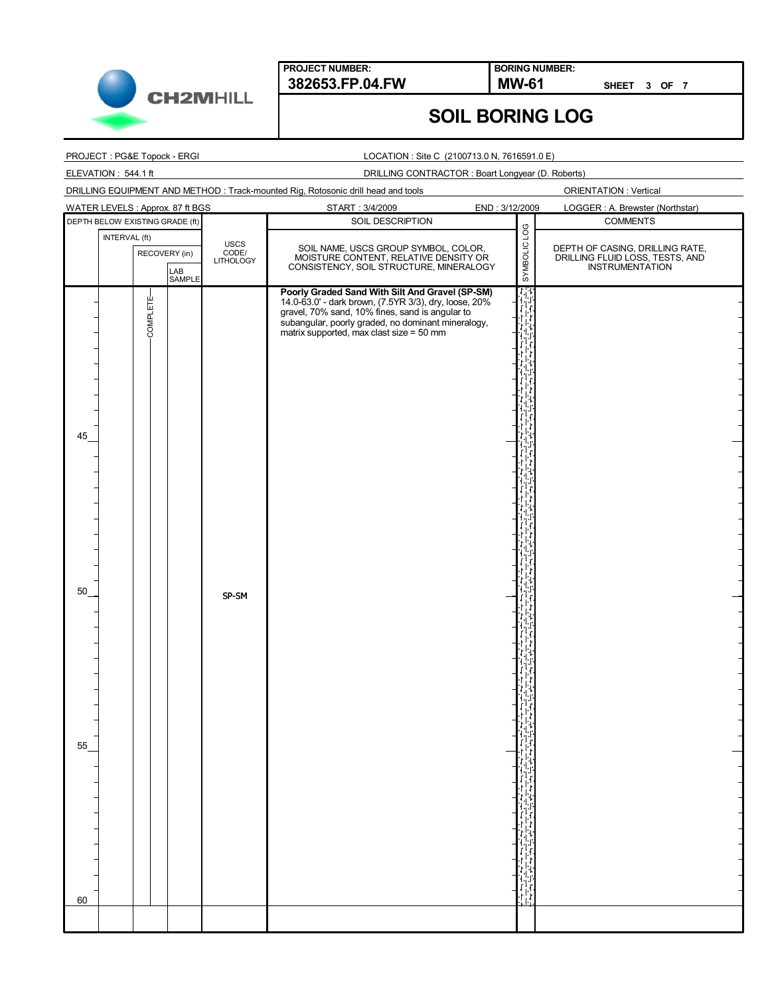

**BORING NUMBER:**

**SHEET 3 OF 7**

# **SOIL BORING LOG**

### PROJECT : PG&E Topock - ERGI

ELEVATION : 544.1 ft

#### LOCATION : Site C (2100713.0 N, 7616591.0 E)

### DRILLING CONTRACTOR : Boart Longyear (D. Roberts)

| DRILLING EQUIPMENT AND METHOD: Track-mounted Rig, Rotosonic drill head and tools |  |
|----------------------------------------------------------------------------------|--|
|                                                                                  |  |

| WATER LEVELS : Approx. 87 ft BGS             |                            | START: 3/4/2009                                                                                                                                                                                                                            | END: 3/12/2009 | LOGGER : A. Brewster (Northstar)                                                      |
|----------------------------------------------|----------------------------|--------------------------------------------------------------------------------------------------------------------------------------------------------------------------------------------------------------------------------------------|----------------|---------------------------------------------------------------------------------------|
| DEPTH BELOW EXISTING GRADE (ft)              |                            | SOIL DESCRIPTION                                                                                                                                                                                                                           |                | <b>COMMENTS</b>                                                                       |
| INTERVAL (ft)<br>RECOVERY (in)               | USCS<br>CODE/<br>LITHOLOGY | SOIL NAME, USCS GROUP SYMBOL, COLOR,<br>MOISTURE CONTENT, RELATIVE DENSITY OR<br>CONSISTENCY, SOIL STRUCTURE, MINERALOGY                                                                                                                   | SYMBOLIC LOG   | DEPTH OF CASING, DRILLING RATE,<br>DRILLING FLUID LOSS, TESTS, AND<br>INSTRUMENTATION |
| LAB<br>SAMPLE<br>COMPLETE-<br>45<br>50<br>55 | SP-SM                      | Poorly Graded Sand With Silt And Gravel (SP-SM)<br>14.0-63.0' - dark brown, (7.5YR 3/3), dry, loose, 20%<br>gravel, 70% sand, 10% fines, sand is angular to<br>subangular, poorly graded, no dominant mineralogy,<br>matrix supported, max |                |                                                                                       |
| 60                                           |                            |                                                                                                                                                                                                                                            |                |                                                                                       |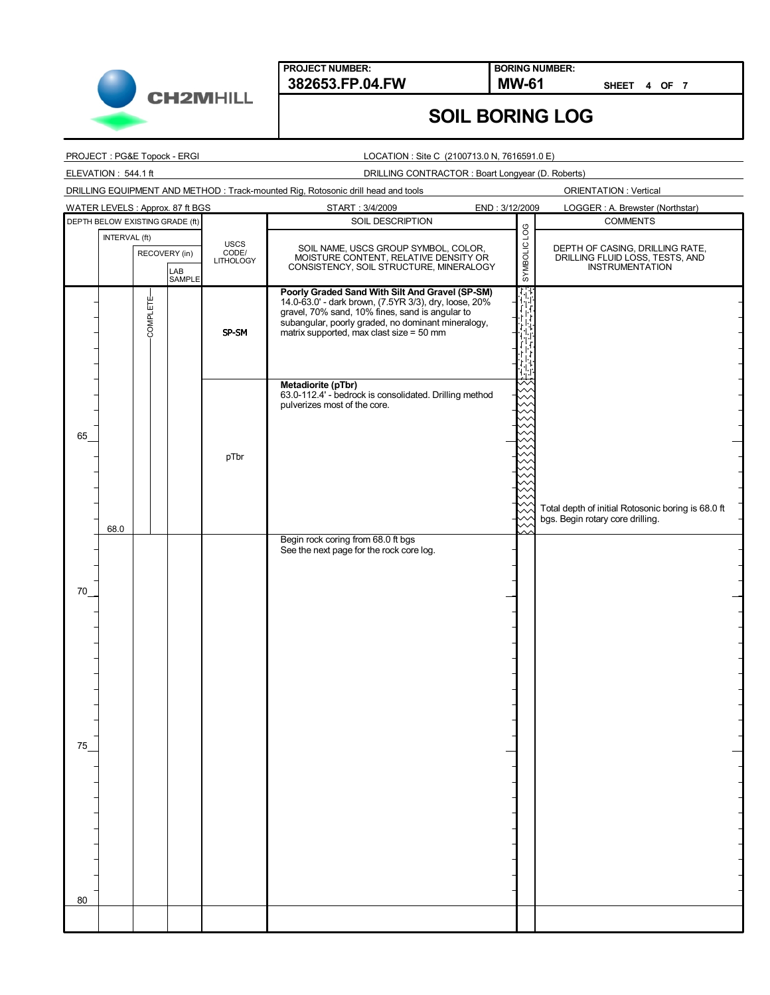

**BORING NUMBER:**

**SHEET 4 OF 7**

# **SOIL BORING LOG**

#### PROJECT : PG&E Topock - ERGI

ELEVATION : 544.1 ft

#### LOCATION : Site C (2100713.0 N, 7616591.0 E)

### DRILLING CONTRACTOR : Boart Longyear (D. Roberts)

DRILLING EQUIPMENT AND METHOD : Track-mounted Rig, Rotosonic drill head and tools

| WATER LEVELS : Approx. 87 ft BGS |                                 |                                                 |  |                            | START: 3/4/2009                                                                                                                                                                                                                                               | END: 3/12/2009 | LOGGER : A. Brewster (Northstar)                                                             |
|----------------------------------|---------------------------------|-------------------------------------------------|--|----------------------------|---------------------------------------------------------------------------------------------------------------------------------------------------------------------------------------------------------------------------------------------------------------|----------------|----------------------------------------------------------------------------------------------|
|                                  | DEPTH BELOW EXISTING GRADE (ft) |                                                 |  |                            | SOIL DESCRIPTION                                                                                                                                                                                                                                              |                | <b>COMMENTS</b>                                                                              |
|                                  |                                 | INTERVAL (ft)<br>RECOVERY (in)<br>LAB<br>SAMPLE |  | USCS<br>CODE/<br>LITHOLOGY | SOIL NAME, USCS GROUP SYMBOL, COLOR,<br>MOISTURE CONTENT, RELATIVE DENSITY OR<br>CONSISTENCY, SOIL STRUCTURE, MINERALOGY                                                                                                                                      | SYMBOLIC LOG   | DEPTH OF CASING, DRILLING RATE,<br>DRILLING FLUID LOSS, TESTS, AND<br><b>INSTRUMENTATION</b> |
|                                  |                                 | COMPLETE-                                       |  | SP-SM                      | Poorly Graded Sand With Silt And Gravel (SP-SM)<br>14.0-63.0' - dark brown, (7.5YR 3/3), dry, loose, 20%<br>gravel, 70% sand, 10% fines, sand is angular to<br>subangular, poorly graded, no dominant mineralogy,<br>matrix supported, max clast size = 50 mm |                |                                                                                              |
| 65                               |                                 |                                                 |  | pTbr                       | Metadiorite (pTbr)<br>63.0-112.4' - bedrock is consolidated. Drilling method<br>pulverizes most of the core.                                                                                                                                                  |                |                                                                                              |
|                                  | 68.0                            |                                                 |  |                            | Begin rock coring from 68.0 ft bgs<br>See the next page for the rock core log.                                                                                                                                                                                |                | Total depth of initial Rotosonic boring is 68.0 ft<br>bgs. Begin rotary core drilling.       |
| 70                               |                                 |                                                 |  |                            |                                                                                                                                                                                                                                                               |                |                                                                                              |
| 75                               |                                 |                                                 |  |                            |                                                                                                                                                                                                                                                               |                |                                                                                              |
|                                  |                                 |                                                 |  |                            |                                                                                                                                                                                                                                                               |                |                                                                                              |
| 80                               |                                 |                                                 |  |                            |                                                                                                                                                                                                                                                               |                |                                                                                              |
|                                  |                                 |                                                 |  |                            |                                                                                                                                                                                                                                                               |                |                                                                                              |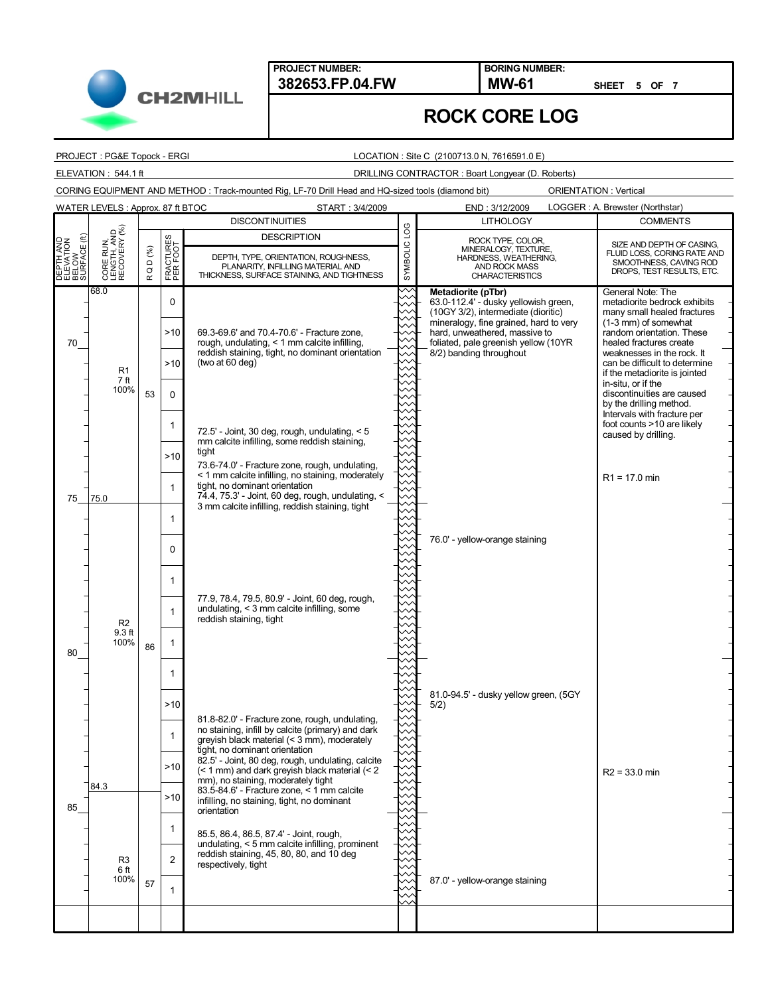**PROJECT NUMBER:**

**382653.FP.04.FW MW-61 BORING NUMBER:**

**SHEET 5 OF 7**

## **ROCK CORE LOG**

PROJECT : PG&E Topock - ERGI

**CH2MHILL** 

#### LOCATION : Site C (2100713.0 N, 7616591.0 E)

## ELEVATION : 544.1 ft DRILLING CONTRACTOR : Boart Longyear (D. Roberts)

CORING EQUIPMENT AND METHOD : Track-mounted Rig, LF-70 Drill Head and HQ-sized tools (diamond bit)

|                                                 | WATER LEVELS: Approx. 87 ft BTOC            |                                 |                           | START: 3/4/2009                                                                                                                                                                                                                                                                                                     |                        | END: 3/12/2009                                                                                                                                                                                                                                  | LOGGER: A. Brewster (Northstar)                                                                                                                                                                                                                                                                                                                                                                                                     |
|-------------------------------------------------|---------------------------------------------|---------------------------------|---------------------------|---------------------------------------------------------------------------------------------------------------------------------------------------------------------------------------------------------------------------------------------------------------------------------------------------------------------|------------------------|-------------------------------------------------------------------------------------------------------------------------------------------------------------------------------------------------------------------------------------------------|-------------------------------------------------------------------------------------------------------------------------------------------------------------------------------------------------------------------------------------------------------------------------------------------------------------------------------------------------------------------------------------------------------------------------------------|
|                                                 |                                             |                                 |                           | <b>DISCONTINUITIES</b>                                                                                                                                                                                                                                                                                              |                        | <b>LITHOLOGY</b>                                                                                                                                                                                                                                | <b>COMMENTS</b>                                                                                                                                                                                                                                                                                                                                                                                                                     |
| DEPTH AND<br>ELEVATION<br>BELOW<br>SURFACE (ft) | CORE RUN,<br>LENGTH, AND<br>RECOVERY (%)    | $D$ (%)<br>$\circ$<br>$\propto$ | FRACTURES<br>PER FOOT     | <b>DESCRIPTION</b><br>DEPTH, TYPE, ORIENTATION, ROUGHNESS,<br>PLANARITY, INFILLING MATERIAL AND<br>THICKNESS, SURFACE STAINING, AND TIGHTNESS                                                                                                                                                                       | <b>DOT</b><br>SYMBOLIC | ROCK TYPE, COLOR,<br>MINERALOGY, TEXTURE,<br>HARDNESS, WEATHERING,<br>AND ROCK MASS<br><b>CHARACTERISTICS</b>                                                                                                                                   | SIZE AND DEPTH OF CASING,<br>FLUID LOSS, CORING RATE AND<br>SMOOTHNESS, CAVING ROD<br>DROPS, TEST RESULTS, ETC.                                                                                                                                                                                                                                                                                                                     |
| 70                                              | 68.0<br>R <sub>1</sub><br>7 ft<br>100%      | 53                              | 0<br>>10<br>>10<br>0<br>1 | 69.3-69.6' and 70.4-70.6' - Fracture zone.<br>rough, undulating, < 1 mm calcite infilling,<br>reddish staining, tight, no dominant orientation<br>(two at 60 deg)<br>72.5' - Joint, 30 deg, rough, undulating, $<$ 5<br>mm calcite infilling, some reddish staining,                                                |                        | Metadiorite (pTbr)<br>63.0-112.4' - dusky yellowish green,<br>(10GY 3/2), intermediate (dioritic)<br>mineralogy, fine grained, hard to very<br>hard, unweathered, massive to<br>foliated, pale greenish yellow (10YR<br>8/2) banding throughout | General Note: The<br>metadiorite bedrock exhibits<br>many small healed fractures<br>(1-3 mm) of somewhat<br>random orientation. These<br>healed fractures create<br>weaknesses in the rock. It<br>can be difficult to determine<br>if the metadiorite is jointed<br>in-situ, or if the<br>discontinuities are caused<br>by the drilling method.<br>Intervals with fracture per<br>foot counts >10 are likely<br>caused by drilling. |
| 75                                              | 75.0                                        |                                 | >10<br>1<br>1             | tight<br>73.6-74.0' - Fracture zone, rough, undulating,<br>< 1 mm calcite infilling, no staining, moderately<br>tight, no dominant orientation<br>74.4, 75.3' - Joint, 60 deg, rough, undulating, <<br>3 mm calcite infilling, reddish staining, tight                                                              |                        |                                                                                                                                                                                                                                                 | $R1 = 17.0$ min                                                                                                                                                                                                                                                                                                                                                                                                                     |
|                                                 |                                             |                                 | 0<br>1                    | 77.9, 78.4, 79.5, 80.9' - Joint, 60 deg, rough,                                                                                                                                                                                                                                                                     |                        | 76.0' - yellow-orange staining                                                                                                                                                                                                                  |                                                                                                                                                                                                                                                                                                                                                                                                                                     |
| 80                                              | R <sub>2</sub><br>9.3 <sub>ft</sub><br>100% | 86                              | 1<br>1                    | undulating, $<$ 3 mm calcite infilling, some<br>reddish staining, tight                                                                                                                                                                                                                                             |                        |                                                                                                                                                                                                                                                 |                                                                                                                                                                                                                                                                                                                                                                                                                                     |
|                                                 |                                             |                                 | >10<br>1<br>$-10$         | 81.8-82.0' - Fracture zone, rough, undulating,<br>no staining, infill by calcite (primary) and dark<br>greyish black material (< 3 mm), moderately<br>tight, no dominant orientation<br>82.5' - Joint, 80 deg, rough, undulating, calcite<br>$($ < 1 mm) and dark greyish black material $($ $<$ 2                  |                        | 81.0-94.5' - dusky yellow green, (5GY<br>5/2)                                                                                                                                                                                                   | $R2 = 33.0$ min                                                                                                                                                                                                                                                                                                                                                                                                                     |
| 85                                              | 84.3<br>R <sub>3</sub>                      |                                 | >10<br>1<br>2             | mm), no staining, moderately tight<br>$83.5 - 84.6$ ' - Fracture zone, < 1 mm calcite<br>infilling, no staining, tight, no dominant<br>orientation<br>85.5, 86.4, 86.5, 87.4' - Joint, rough,<br>undulating, < 5 mm calcite infilling, prominent<br>reddish staining, 45, 80, 80, and 10 deg<br>respectively, tight |                        |                                                                                                                                                                                                                                                 |                                                                                                                                                                                                                                                                                                                                                                                                                                     |
|                                                 | 6 ft<br>100%                                | 57                              | 1                         |                                                                                                                                                                                                                                                                                                                     |                        | 87.0' - yellow-orange staining                                                                                                                                                                                                                  |                                                                                                                                                                                                                                                                                                                                                                                                                                     |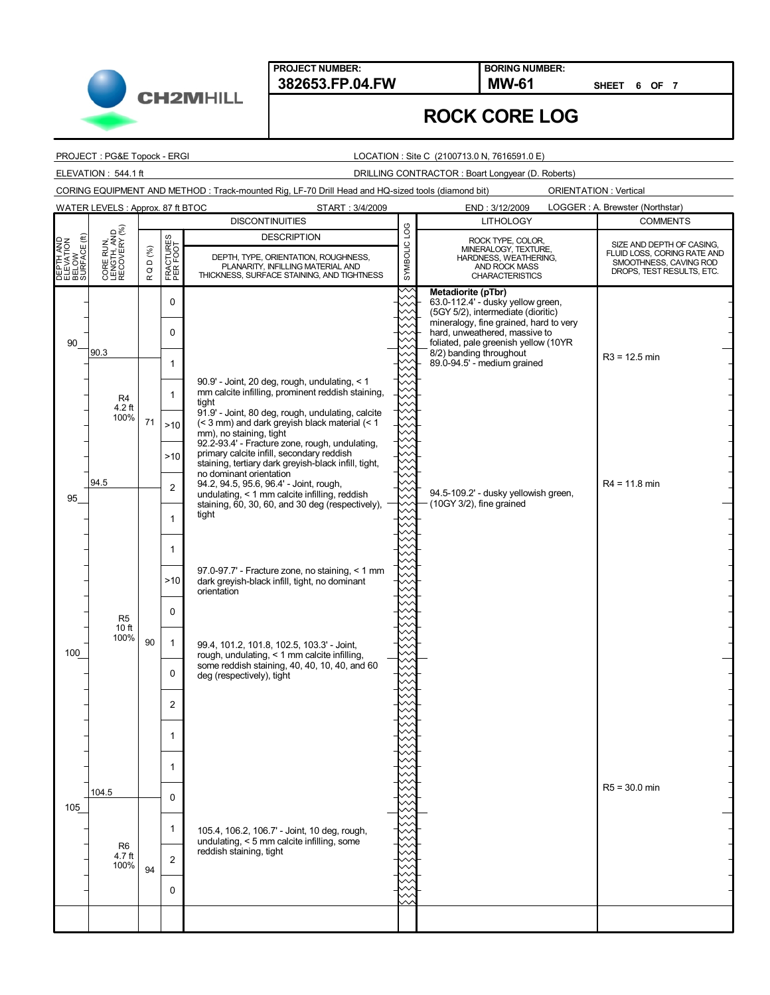**PROJECT NUMBER:**

**382653.FP.04.FW MW-61 BORING NUMBER:**

**SHEET 6 OF 7**

|  | <b>ROCK CORE LOG</b> |  |
|--|----------------------|--|
|--|----------------------|--|

PROJECT : PG&E Topock - ERGI

#### LOCATION : Site C (2100713.0 N, 7616591.0 E)

## ELEVATION : 544.1 ft DRILLING CONTRACTOR : Boart Longyear (D. Roberts)

CORING EQUIPMENT AND METHOD : Track-mounted Rig, LF-70 Drill Head and HQ-sized tools (diamond bit)

|                                                 | WATER LEVELS: Approx. 87 ft BTOC         |                                |                       | START: 3/4/2009                                                                                                                                       |                        | END: 3/12/2009                                                                                                                             | LOGGER: A. Brewster (Northstar)                                                                                 |
|-------------------------------------------------|------------------------------------------|--------------------------------|-----------------------|-------------------------------------------------------------------------------------------------------------------------------------------------------|------------------------|--------------------------------------------------------------------------------------------------------------------------------------------|-----------------------------------------------------------------------------------------------------------------|
|                                                 |                                          |                                |                       | <b>DISCONTINUITIES</b>                                                                                                                                |                        | <b>LITHOLOGY</b>                                                                                                                           | <b>COMMENTS</b>                                                                                                 |
| DEPTH AND<br>ELEVATION<br>BELOW<br>SURFACE (ft) | CORE RUN,<br>LENGTH, AND<br>RECOVERY (%) | Q D $(^{96}_{6})$<br>$\propto$ | FRACTURES<br>PER FOOT | <b>DESCRIPTION</b><br>DEPTH, TYPE, ORIENTATION, ROUGHNESS,<br>PLANARITY, INFILLING MATERIAL AND<br>THICKNESS, SURFACE STAINING, AND TIGHTNESS         | <b>DO1</b><br>SYMBOLIC | ROCK TYPE, COLOR,<br>MINERALOGY, TEXTURE,<br>HARDNESS, WEATHERING,<br>AND ROCK MASS<br><b>CHARACTERISTICS</b>                              | SIZE AND DEPTH OF CASING,<br>FLUID LOSS, CORING RATE AND<br>SMOOTHNESS, CAVING ROD<br>DROPS, TEST RESULTS, ETC. |
|                                                 |                                          |                                | 0                     |                                                                                                                                                       | ╳                      | Metadiorite (pTbr)<br>63.0-112.4' - dusky yellow green,<br>(5GY 5/2), intermediate (dioritic)                                              |                                                                                                                 |
| 90                                              | 90.3                                     |                                | 0                     |                                                                                                                                                       |                        | mineralogy, fine grained, hard to very<br>hard, unweathered, massive to<br>foliated, pale greenish yellow (10YR<br>8/2) banding throughout |                                                                                                                 |
|                                                 |                                          |                                | 1                     | 90.9' - Joint, 20 deg, rough, undulating, < 1                                                                                                         |                        | 89.0-94.5' - medium grained                                                                                                                | $R3 = 12.5$ min                                                                                                 |
|                                                 | R4<br>$4.2$ ft<br>100%                   |                                | 1                     | mm calcite infilling, prominent reddish staining,<br>tight<br>91.9' - Joint, 80 deg, rough, undulating, calcite                                       |                        |                                                                                                                                            |                                                                                                                 |
|                                                 |                                          | 71                             | >10                   | (< 3 mm) and dark greyish black material (< 1<br>mm), no staining, tight<br>92.2-93.4' - Fracture zone, rough, undulating,                            |                        |                                                                                                                                            |                                                                                                                 |
|                                                 |                                          |                                | >10                   | primary calcite infill, secondary reddish<br>staining, tertiary dark greyish-black infill, tight,<br>no dominant orientation                          |                        |                                                                                                                                            |                                                                                                                 |
| 95                                              | 94.5                                     |                                | $\overline{c}$        | 94.2, 94.5, 95.6, 96.4' - Joint, rough,<br>undulating, < 1 mm calcite infilling, reddish<br>staining, 60, 30, 60, and 30 deg (respectively),<br>tight |                        | 94.5-109.2' - dusky yellowish green,<br>$(10GY 3/2)$ , fine grained                                                                        | $R4 = 11.8$ min                                                                                                 |
|                                                 |                                          |                                | 1                     |                                                                                                                                                       |                        |                                                                                                                                            |                                                                                                                 |
|                                                 |                                          |                                | 1<br>>10              | 97.0-97.7' - Fracture zone, no staining, < 1 mm<br>dark greyish-black infill, tight, no dominant                                                      |                        |                                                                                                                                            |                                                                                                                 |
|                                                 |                                          |                                | $\Omega$              | orientation                                                                                                                                           |                        |                                                                                                                                            |                                                                                                                 |
|                                                 | R <sub>5</sub><br>10 ft<br>100%          | 90                             | $\mathbf{1}$          | 99.4, 101.2, 101.8, 102.5, 103.3' - Joint,                                                                                                            |                        |                                                                                                                                            |                                                                                                                 |
| 100                                             |                                          |                                | 0                     | rough, undulating, < 1 mm calcite infilling,<br>some reddish staining, 40, 40, 10, 40, and 60<br>deg (respectively), tight                            |                        |                                                                                                                                            |                                                                                                                 |
|                                                 |                                          |                                | 2                     |                                                                                                                                                       |                        |                                                                                                                                            |                                                                                                                 |
|                                                 |                                          |                                | 1                     |                                                                                                                                                       |                        |                                                                                                                                            |                                                                                                                 |
|                                                 |                                          |                                |                       |                                                                                                                                                       |                        |                                                                                                                                            |                                                                                                                 |
| 105                                             | 104.5                                    |                                | $\Omega$              |                                                                                                                                                       |                        |                                                                                                                                            | $R5 = 30.0$ min                                                                                                 |
|                                                 | R <sub>6</sub>                           |                                | $\mathbf{1}$          | 105.4, 106.2, 106.7' - Joint, 10 deg, rough,<br>undulating, < 5 mm calcite infilling, some                                                            |                        |                                                                                                                                            |                                                                                                                 |
|                                                 | 4.7 ft<br>100%                           | 94                             | $\overline{2}$        | reddish staining, tight                                                                                                                               |                        |                                                                                                                                            |                                                                                                                 |
|                                                 |                                          |                                | $\Omega$              |                                                                                                                                                       |                        |                                                                                                                                            |                                                                                                                 |
|                                                 |                                          |                                |                       |                                                                                                                                                       |                        |                                                                                                                                            |                                                                                                                 |